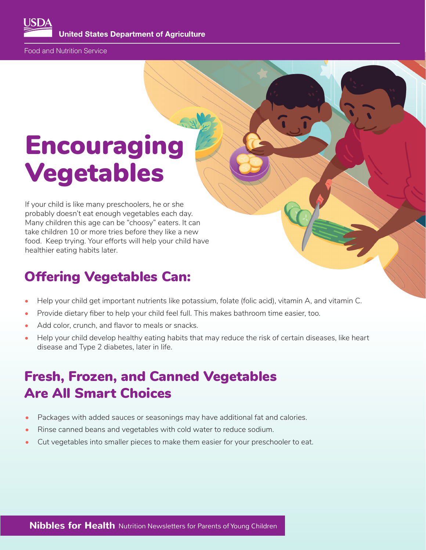**United States Department of Agriculture** 

Food and Nutrition Service

# Encouraging Vegetables

If your child is like many preschoolers, he or she probably doesn't eat enough vegetables each day. Many children this age can be "choosy" eaters. It can take children 10 or more tries before they like a new food. Keep trying. Your efforts will help your child have healthier eating habits later.

### Offering Vegetables Can:

- Help your child get important nutrients like potassium, folate (folic acid), vitamin A, and vitamin C.
- Provide dietary fber to help your child feel full. This makes bathroom time easier, too.
- Add color, crunch, and flavor to meals or snacks.
- Help your child develop healthy eating habits that may reduce the risk of certain diseases, like heart disease and Type 2 diabetes, later in life.

## Fresh, Frozen, and Canned Vegetables Are All Smart Choices

- Packages with added sauces or seasonings may have additional fat and calories.
- Rinse canned beans and vegetables with cold water to reduce sodium.
- Cut vegetables into smaller pieces to make them easier for your preschooler to eat.